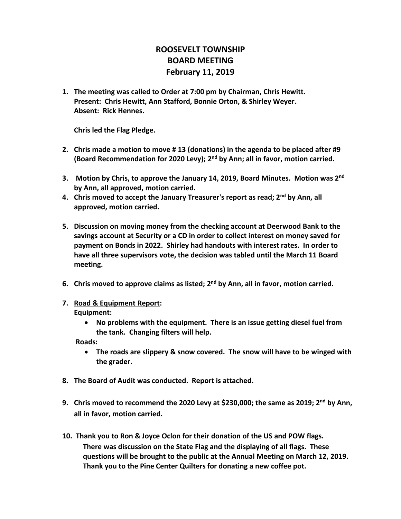## **ROOSEVELT TOWNSHIP BOARD MEETING February 11, 2019**

**1. The meeting was called to Order at 7:00 pm by Chairman, Chris Hewitt. Present: Chris Hewitt, Ann Stafford, Bonnie Orton, & Shirley Weyer. Absent: Rick Hennes.**

**Chris led the Flag Pledge.**

- **2. Chris made a motion to move # 13 (donations) in the agenda to be placed after #9 (Board Recommendation for 2020 Levy); 2nd by Ann; all in favor, motion carried.**
- **3. Motion by Chris, to approve the January 14, 2019, Board Minutes. Motion was 2nd by Ann, all approved, motion carried.**
- **4. Chris moved to accept the January Treasurer's report as read; 2nd by Ann, all approved, motion carried.**
- **5. Discussion on moving money from the checking account at Deerwood Bank to the savings account at Security or a CD in order to collect interest on money saved for payment on Bonds in 2022. Shirley had handouts with interest rates. In order to have all three supervisors vote, the decision was tabled until the March 11 Board meeting.**
- **6. Chris moved to approve claims as listed; 2nd by Ann, all in favor, motion carried.**
- **7. Road & Equipment Report: Equipment:**
	- **No problems with the equipment. There is an issue getting diesel fuel from the tank. Changing filters will help.**

 **Roads:** 

- **The roads are slippery & snow covered. The snow will have to be winged with the grader.**
- **8. The Board of Audit was conducted. Report is attached.**
- **9. Chris moved to recommend the 2020 Levy at \$230,000; the same as 2019; 2nd by Ann, all in favor, motion carried.**
- **10. Thank you to Ron & Joyce Oclon for their donation of the US and POW flags. There was discussion on the State Flag and the displaying of all flags. These questions will be brought to the public at the Annual Meeting on March 12, 2019. Thank you to the Pine Center Quilters for donating a new coffee pot.**